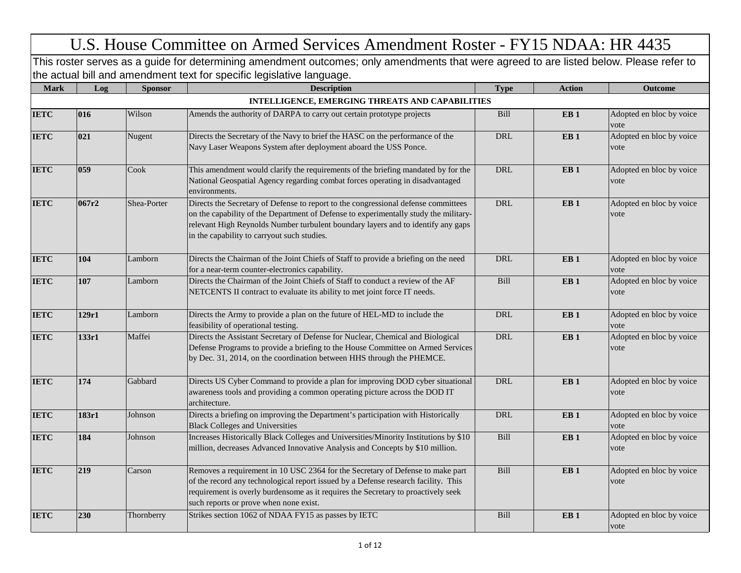## U.S. House Committee on Armed Services Amendment Roster - FY15 NDAA: HR 4435

This roster serves as a guide for determining amendment outcomes; only amendments that were agreed to are listed below. Please refer to the actual bill and amendment text for specific legislative language.

| <b>Mark</b> | Log   | <b>Sponsor</b> | <b>Description</b>                                                                                                                                                                                                                                                                                            | <b>Type</b> | <b>Action</b>   | <b>Outcome</b>                   |
|-------------|-------|----------------|---------------------------------------------------------------------------------------------------------------------------------------------------------------------------------------------------------------------------------------------------------------------------------------------------------------|-------------|-----------------|----------------------------------|
|             |       |                | INTELLIGENCE, EMERGING THREATS AND CAPABILITIES                                                                                                                                                                                                                                                               |             |                 |                                  |
| <b>IETC</b> | 016   | Wilson         | Amends the authority of DARPA to carry out certain prototype projects                                                                                                                                                                                                                                         | Bill        | EB <sub>1</sub> | Adopted en bloc by voice<br>vote |
| <b>IETC</b> | 021   | Nugent         | Directs the Secretary of the Navy to brief the HASC on the performance of the<br>Navy Laser Weapons System after deployment aboard the USS Ponce.                                                                                                                                                             | $\rm DRL$   | EB1             | Adopted en bloc by voice<br>vote |
| <b>IETC</b> | 059   | Cook           | This amendment would clarify the requirements of the briefing mandated by for the<br>National Geospatial Agency regarding combat forces operating in disadvantaged<br>environments.                                                                                                                           | <b>DRL</b>  | EB1             | Adopted en bloc by voice<br>vote |
| <b>IETC</b> | 067r2 | Shea-Porter    | Directs the Secretary of Defense to report to the congressional defense committees<br>on the capability of the Department of Defense to experimentally study the military-<br>relevant High Reynolds Number turbulent boundary layers and to identify any gaps<br>in the capability to carryout such studies. | <b>DRL</b>  | EB <sub>1</sub> | Adopted en bloc by voice<br>vote |
| <b>IETC</b> | 104   | Lamborn        | Directs the Chairman of the Joint Chiefs of Staff to provide a briefing on the need<br>for a near-term counter-electronics capability.                                                                                                                                                                        | <b>DRL</b>  | EB <sub>1</sub> | Adopted en bloc by voice<br>vote |
| <b>IETC</b> | 107   | Lamborn        | Directs the Chairman of the Joint Chiefs of Staff to conduct a review of the AF<br>NETCENTS II contract to evaluate its ability to met joint force IT needs.                                                                                                                                                  | Bill        | EB1             | Adopted en bloc by voice<br>vote |
| <b>IETC</b> | 129r1 | Lamborn        | Directs the Army to provide a plan on the future of HEL-MD to include the<br>feasibility of operational testing.                                                                                                                                                                                              | $\rm DRL$   | EB <sub>1</sub> | Adopted en bloc by voice<br>vote |
| <b>IETC</b> | 133r1 | Maffei         | Directs the Assistant Secretary of Defense for Nuclear, Chemical and Biological<br>Defense Programs to provide a briefing to the House Committee on Armed Services<br>by Dec. 31, 2014, on the coordination between HHS through the PHEMCE.                                                                   | <b>DRL</b>  | EB1             | Adopted en bloc by voice<br>vote |
| <b>IETC</b> | 174   | Gabbard        | Directs US Cyber Command to provide a plan for improving DOD cyber situational<br>awareness tools and providing a common operating picture across the DOD IT<br>architecture.                                                                                                                                 | $\rm DRL$   | EB <sub>1</sub> | Adopted en bloc by voice<br>vote |
| <b>IETC</b> | 183r1 | Johnson        | Directs a briefing on improving the Department's participation with Historically<br><b>Black Colleges and Universities</b>                                                                                                                                                                                    | <b>DRL</b>  | EB <sub>1</sub> | Adopted en bloc by voice<br>vote |
| <b>IETC</b> | 184   | Johnson        | Increases Historically Black Colleges and Universities/Minority Institutions by \$10<br>million, decreases Advanced Innovative Analysis and Concepts by \$10 million.                                                                                                                                         | Bill        | EB <sub>1</sub> | Adopted en bloc by voice<br>vote |
| <b>IETC</b> | 219   | Carson         | Removes a requirement in 10 USC 2364 for the Secretary of Defense to make part<br>of the record any technological report issued by a Defense research facility. This<br>requirement is overly burdensome as it requires the Secretary to proactively seek<br>such reports or prove when none exist.           | Bill        | EB <sub>1</sub> | Adopted en bloc by voice<br>vote |
| <b>IETC</b> | 230   | Thornberry     | Strikes section 1062 of NDAA FY15 as passes by IETC                                                                                                                                                                                                                                                           | Bill        | EB <sub>1</sub> | Adopted en bloc by voice<br>vote |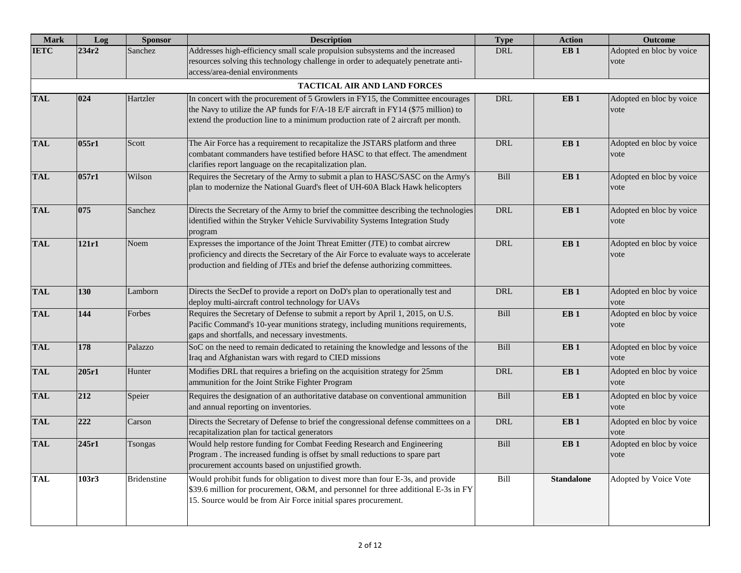| <b>Mark</b> | Log   | <b>Sponsor</b>     | <b>Description</b>                                                                                                                                                                                                                                        | <b>Type</b> | <b>Action</b>     | <b>Outcome</b>                   |
|-------------|-------|--------------------|-----------------------------------------------------------------------------------------------------------------------------------------------------------------------------------------------------------------------------------------------------------|-------------|-------------------|----------------------------------|
| <b>IETC</b> | 234r2 | Sanchez            | Addresses high-efficiency small scale propulsion subsystems and the increased<br>resources solving this technology challenge in order to adequately penetrate anti-<br>access/area-denial environments                                                    | DRL         | EB1               | Adopted en bloc by voice<br>vote |
|             |       |                    | <b>TACTICAL AIR AND LAND FORCES</b>                                                                                                                                                                                                                       |             |                   |                                  |
| <b>TAL</b>  | 024   | Hartzler           | In concert with the procurement of 5 Growlers in FY15, the Committee encourages<br>the Navy to utilize the AP funds for F/A-18 E/F aircraft in FY14 (\$75 million) to<br>extend the production line to a minimum production rate of 2 aircraft per month. | <b>DRL</b>  | EB <sub>1</sub>   | Adopted en bloc by voice<br>vote |
| <b>TAL</b>  | 055r1 | Scott              | The Air Force has a requirement to recapitalize the JSTARS platform and three<br>combatant commanders have testified before HASC to that effect. The amendment<br>clarifies report language on the recapitalization plan.                                 | <b>DRL</b>  | EB <sub>1</sub>   | Adopted en bloc by voice<br>vote |
| <b>TAL</b>  | 057r1 | Wilson             | Requires the Secretary of the Army to submit a plan to HASC/SASC on the Army's<br>plan to modernize the National Guard's fleet of UH-60A Black Hawk helicopters                                                                                           | Bill        | EB <sub>1</sub>   | Adopted en bloc by voice<br>vote |
| <b>TAL</b>  | 075   | Sanchez            | Directs the Secretary of the Army to brief the committee describing the technologies<br>identified within the Stryker Vehicle Survivability Systems Integration Study<br>program                                                                          | <b>DRL</b>  | EB <sub>1</sub>   | Adopted en bloc by voice<br>vote |
| <b>TAL</b>  | 121r1 | Noem               | Expresses the importance of the Joint Threat Emitter (JTE) to combat aircrew<br>proficiency and directs the Secretary of the Air Force to evaluate ways to accelerate<br>production and fielding of JTEs and brief the defense authorizing committees.    | <b>DRL</b>  | EB <sub>1</sub>   | Adopted en bloc by voice<br>vote |
| <b>TAL</b>  | 130   | Lamborn            | Directs the SecDef to provide a report on DoD's plan to operationally test and<br>deploy multi-aircraft control technology for UAVs                                                                                                                       | <b>DRL</b>  | EB <sub>1</sub>   | Adopted en bloc by voice<br>vote |
| <b>TAL</b>  | 144   | Forbes             | Requires the Secretary of Defense to submit a report by April 1, 2015, on U.S.<br>Pacific Command's 10-year munitions strategy, including munitions requirements,<br>gaps and shortfalls, and necessary investments.                                      | Bill        | EB <sub>1</sub>   | Adopted en bloc by voice<br>vote |
| <b>TAL</b>  | 178   | Palazzo            | SoC on the need to remain dedicated to retaining the knowledge and lessons of the<br>Iraq and Afghanistan wars with regard to CIED missions                                                                                                               | Bill        | EB <sub>1</sub>   | Adopted en bloc by voice<br>vote |
| <b>TAL</b>  | 205r1 | Hunter             | Modifies DRL that requires a briefing on the acquisition strategy for 25mm<br>ammunition for the Joint Strike Fighter Program                                                                                                                             | <b>DRL</b>  | EB <sub>1</sub>   | Adopted en bloc by voice<br>vote |
| <b>TAL</b>  | 212   | Speier             | Requires the designation of an authoritative database on conventional ammunition<br>and annual reporting on inventories.                                                                                                                                  | Bill        | EB <sub>1</sub>   | Adopted en bloc by voice<br>vote |
| <b>TAL</b>  | 222   | Carson             | Directs the Secretary of Defense to brief the congressional defense committees on a<br>recapitalization plan for tactical generators                                                                                                                      | DRL         | EB <sub>1</sub>   | Adopted en bloc by voice<br>vote |
| <b>TAL</b>  | 245r1 | Tsongas            | Would help restore funding for Combat Feeding Research and Engineering<br>Program. The increased funding is offset by small reductions to spare part<br>procurement accounts based on unjustified growth.                                                 | Bill        | EB <sub>1</sub>   | Adopted en bloc by voice<br>vote |
| <b>TAL</b>  | 103r3 | <b>Bridenstine</b> | Would prohibit funds for obligation to divest more than four E-3s, and provide<br>\$39.6 million for procurement, O&M, and personnel for three additional E-3s in FY<br>15. Source would be from Air Force initial spares procurement.                    | Bill        | <b>Standalone</b> | Adopted by Voice Vote            |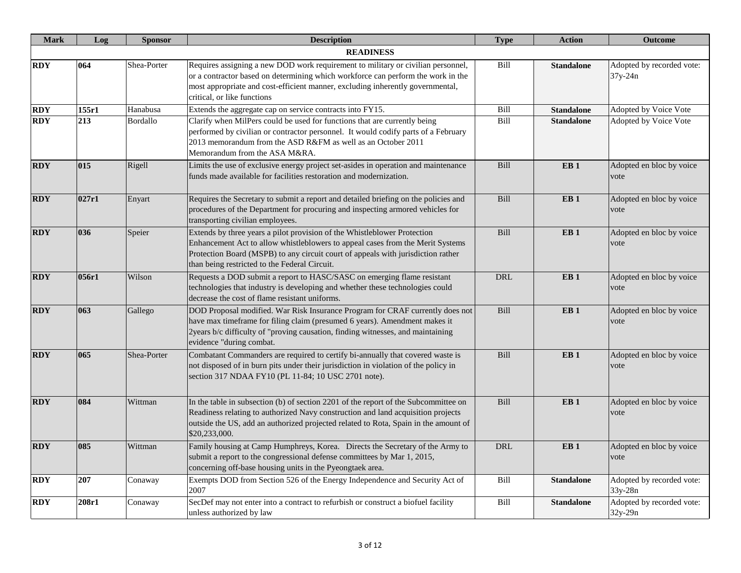| <b>Mark</b> | Log   | <b>Sponsor</b> | <b>Description</b>                                                                                                                                                                                                                                                                              | <b>Type</b> | <b>Action</b>     | <b>Outcome</b>                         |
|-------------|-------|----------------|-------------------------------------------------------------------------------------------------------------------------------------------------------------------------------------------------------------------------------------------------------------------------------------------------|-------------|-------------------|----------------------------------------|
|             |       |                | <b>READINESS</b>                                                                                                                                                                                                                                                                                |             |                   |                                        |
| <b>RDY</b>  | 064   | Shea-Porter    | Requires assigning a new DOD work requirement to military or civilian personnel,<br>or a contractor based on determining which workforce can perform the work in the<br>most appropriate and cost-efficient manner, excluding inherently governmental,<br>critical, or like functions           | Bill        | <b>Standalone</b> | Adopted by recorded vote:<br>37y-24n   |
| <b>RDY</b>  | 155r1 | Hanabusa       | Extends the aggregate cap on service contracts into FY15.                                                                                                                                                                                                                                       | Bill        | <b>Standalone</b> | Adopted by Voice Vote                  |
| <b>RDY</b>  | 213   | Bordallo       | Clarify when MilPers could be used for functions that are currently being<br>performed by civilian or contractor personnel. It would codify parts of a February<br>2013 memorandum from the ASD R&FM as well as an October 2011<br>Memorandum from the ASA M&RA.                                | Bill        | <b>Standalone</b> | Adopted by Voice Vote                  |
| <b>RDY</b>  | 015   | Rigell         | Limits the use of exclusive energy project set-asides in operation and maintenance<br>funds made available for facilities restoration and modernization.                                                                                                                                        | Bill        | EB <sub>1</sub>   | Adopted en bloc by voice<br>vote       |
| <b>RDY</b>  | 027r1 | Enyart         | Requires the Secretary to submit a report and detailed briefing on the policies and<br>procedures of the Department for procuring and inspecting armored vehicles for<br>transporting civilian employees.                                                                                       | Bill        | EB <sub>1</sub>   | Adopted en bloc by voice<br>vote       |
| <b>RDY</b>  | 036   | Speier         | Extends by three years a pilot provision of the Whistleblower Protection<br>Enhancement Act to allow whistleblowers to appeal cases from the Merit Systems<br>Protection Board (MSPB) to any circuit court of appeals with jurisdiction rather<br>than being restricted to the Federal Circuit. | Bill        | EB <sub>1</sub>   | Adopted en bloc by voice<br>vote       |
| <b>RDY</b>  | 056r1 | Wilson         | Requests a DOD submit a report to HASC/SASC on emerging flame resistant<br>technologies that industry is developing and whether these technologies could<br>decrease the cost of flame resistant uniforms.                                                                                      | DRL         | EB <sub>1</sub>   | Adopted en bloc by voice<br>vote       |
| <b>RDY</b>  | 063   | Gallego        | DOD Proposal modified. War Risk Insurance Program for CRAF currently does not<br>have max timeframe for filing claim (presumed 6 years). Amendment makes it<br>2years b/c difficulty of "proving causation, finding witnesses, and maintaining<br>evidence "during combat.                      | Bill        | EB <sub>1</sub>   | Adopted en bloc by voice<br>vote       |
| <b>RDY</b>  | 065   | Shea-Porter    | Combatant Commanders are required to certify bi-annually that covered waste is<br>not disposed of in burn pits under their jurisdiction in violation of the policy in<br>section 317 NDAA FY10 (PL 11-84; 10 USC 2701 note).                                                                    | Bill        | EB <sub>1</sub>   | Adopted en bloc by voice<br>vote       |
| <b>RDY</b>  | 084   | Wittman        | In the table in subsection (b) of section 2201 of the report of the Subcommittee on<br>Readiness relating to authorized Navy construction and land acquisition projects<br>outside the US, add an authorized projected related to Rota, Spain in the amount of<br>\$20,233,000.                 | Bill        | EB <sub>1</sub>   | Adopted en bloc by voice<br>vote       |
| <b>RDY</b>  | 085   | Wittman        | Family housing at Camp Humphreys, Korea. Directs the Secretary of the Army to<br>submit a report to the congressional defense committees by Mar 1, 2015,<br>concerning off-base housing units in the Pyeongtaek area.                                                                           | <b>DRL</b>  | EB <sub>1</sub>   | Adopted en bloc by voice<br>vote       |
| <b>RDY</b>  | 207   | Conaway        | Exempts DOD from Section 526 of the Energy Independence and Security Act of<br>2007                                                                                                                                                                                                             | Bill        | <b>Standalone</b> | Adopted by recorded vote:<br>$33y-28n$ |
| <b>RDY</b>  | 208r1 | Conaway        | SecDef may not enter into a contract to refurbish or construct a biofuel facility<br>unless authorized by law                                                                                                                                                                                   | Bill        | <b>Standalone</b> | Adopted by recorded vote:<br>32y-29n   |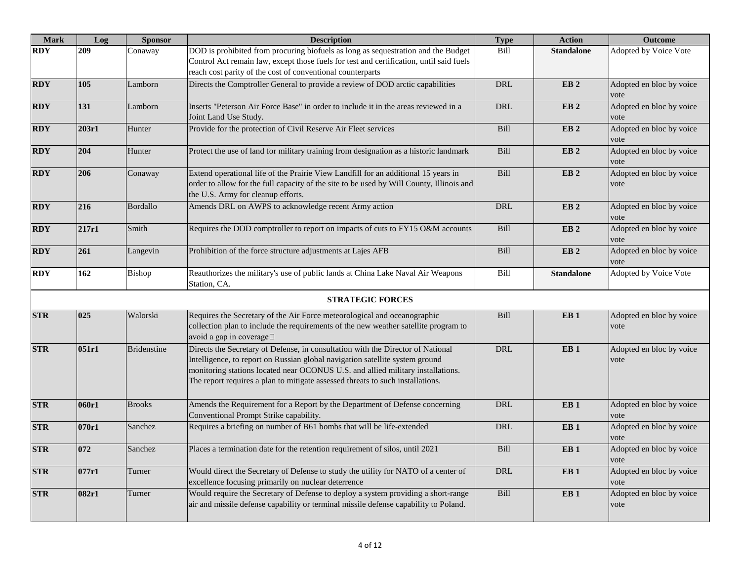| <b>Mark</b> | Log   | <b>Sponsor</b>     | <b>Description</b>                                                                                                                                                                                                                                                                                                                   | <b>Type</b> | <b>Action</b>     | <b>Outcome</b>                   |
|-------------|-------|--------------------|--------------------------------------------------------------------------------------------------------------------------------------------------------------------------------------------------------------------------------------------------------------------------------------------------------------------------------------|-------------|-------------------|----------------------------------|
| <b>RDY</b>  | 209   | Conaway            | DOD is prohibited from procuring biofuels as long as sequestration and the Budget<br>Control Act remain law, except those fuels for test and certification, until said fuels<br>reach cost parity of the cost of conventional counterparts                                                                                           | Bill        | <b>Standalone</b> | Adopted by Voice Vote            |
| <b>RDY</b>  | 105   | Lamborn            | Directs the Comptroller General to provide a review of DOD arctic capabilities                                                                                                                                                                                                                                                       | <b>DRL</b>  | EB <sub>2</sub>   | Adopted en bloc by voice<br>vote |
| <b>RDY</b>  | 131   | Lamborn            | Inserts "Peterson Air Force Base" in order to include it in the areas reviewed in a<br>Joint Land Use Study.                                                                                                                                                                                                                         | DRL         | EB <sub>2</sub>   | Adopted en bloc by voice<br>vote |
| <b>RDY</b>  | 203r1 | Hunter             | Provide for the protection of Civil Reserve Air Fleet services                                                                                                                                                                                                                                                                       | Bill        | EB <sub>2</sub>   | Adopted en bloc by voice<br>vote |
| <b>RDY</b>  | 204   | Hunter             | Protect the use of land for military training from designation as a historic landmark                                                                                                                                                                                                                                                | Bill        | EB <sub>2</sub>   | Adopted en bloc by voice<br>vote |
| <b>RDY</b>  | 206   | Conaway            | Extend operational life of the Prairie View Landfill for an additional 15 years in<br>order to allow for the full capacity of the site to be used by Will County, Illinois and<br>the U.S. Army for cleanup efforts.                                                                                                                 | Bill        | EB <sub>2</sub>   | Adopted en bloc by voice<br>vote |
| <b>RDY</b>  | 216   | Bordallo           | Amends DRL on AWPS to acknowledge recent Army action                                                                                                                                                                                                                                                                                 | <b>DRL</b>  | EB <sub>2</sub>   | Adopted en bloc by voice<br>vote |
| <b>RDY</b>  | 217r1 | Smith              | Requires the DOD comptroller to report on impacts of cuts to FY15 O&M accounts                                                                                                                                                                                                                                                       | Bill        | EB <sub>2</sub>   | Adopted en bloc by voice<br>vote |
| <b>RDY</b>  | 261   | Langevin           | Prohibition of the force structure adjustments at Lajes AFB                                                                                                                                                                                                                                                                          | Bill        | EB <sub>2</sub>   | Adopted en bloc by voice<br>vote |
| <b>RDY</b>  | 162   | Bishop             | Reauthorizes the military's use of public lands at China Lake Naval Air Weapons<br>Station, CA.                                                                                                                                                                                                                                      | Bill        | <b>Standalone</b> | Adopted by Voice Vote            |
|             |       |                    | <b>STRATEGIC FORCES</b>                                                                                                                                                                                                                                                                                                              |             |                   |                                  |
| <b>STR</b>  | 025   | Walorski           | Requires the Secretary of the Air Force meteorological and oceanographic<br>collection plan to include the requirements of the new weather satellite program to<br>avoid a gap in coverage□                                                                                                                                          | Bill        | EB <sub>1</sub>   | Adopted en bloc by voice<br>vote |
| <b>STR</b>  | 051r1 | <b>Bridenstine</b> | Directs the Secretary of Defense, in consultation with the Director of National<br>Intelligence, to report on Russian global navigation satellite system ground<br>monitoring stations located near OCONUS U.S. and allied military installations.<br>The report requires a plan to mitigate assessed threats to such installations. | <b>DRL</b>  | EB <sub>1</sub>   | Adopted en bloc by voice<br>vote |
| <b>STR</b>  | 060r1 | <b>Brooks</b>      | Amends the Requirement for a Report by the Department of Defense concerning<br>Conventional Prompt Strike capability.                                                                                                                                                                                                                | <b>DRL</b>  | EB <sub>1</sub>   | Adopted en bloc by voice<br>vote |
| <b>STR</b>  | 070r1 | Sanchez            | Requires a briefing on number of B61 bombs that will be life-extended                                                                                                                                                                                                                                                                | <b>DRL</b>  | EB <sub>1</sub>   | Adopted en bloc by voice<br>vote |
| <b>STR</b>  | 072   | Sanchez            | Places a termination date for the retention requirement of silos, until 2021                                                                                                                                                                                                                                                         | Bill        | EB <sub>1</sub>   | Adopted en bloc by voice<br>vote |
| <b>STR</b>  | 077r1 | Turner             | Would direct the Secretary of Defense to study the utility for NATO of a center of<br>excellence focusing primarily on nuclear deterrence                                                                                                                                                                                            | DRL         | EB <sub>1</sub>   | Adopted en bloc by voice<br>vote |
| <b>STR</b>  | 082r1 | Turner             | Would require the Secretary of Defense to deploy a system providing a short-range<br>air and missile defense capability or terminal missile defense capability to Poland.                                                                                                                                                            | Bill        | EB <sub>1</sub>   | Adopted en bloc by voice<br>vote |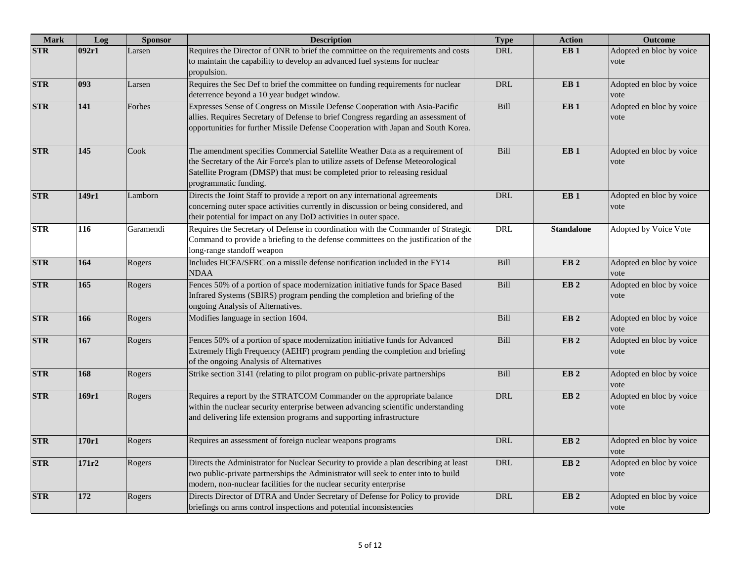| <b>Mark</b> | Log   | <b>Sponsor</b> | <b>Description</b>                                                                                                                                                                                                                                                         | <b>Type</b> | <b>Action</b>     | <b>Outcome</b>                   |
|-------------|-------|----------------|----------------------------------------------------------------------------------------------------------------------------------------------------------------------------------------------------------------------------------------------------------------------------|-------------|-------------------|----------------------------------|
| <b>STR</b>  | 092r1 | Larsen         | Requires the Director of ONR to brief the committee on the requirements and costs<br>to maintain the capability to develop an advanced fuel systems for nuclear<br>propulsion.                                                                                             | <b>DRL</b>  | EB <sub>1</sub>   | Adopted en bloc by voice<br>vote |
| <b>STR</b>  | 093   | Larsen         | Requires the Sec Def to brief the committee on funding requirements for nuclear<br>deterrence beyond a 10 year budget window.                                                                                                                                              | <b>DRL</b>  | EB <sub>1</sub>   | Adopted en bloc by voice<br>vote |
| <b>STR</b>  | 141   | Forbes         | Expresses Sense of Congress on Missile Defense Cooperation with Asia-Pacific<br>allies. Requires Secretary of Defense to brief Congress regarding an assessment of<br>opportunities for further Missile Defense Cooperation with Japan and South Korea.                    | Bill        | EB <sub>1</sub>   | Adopted en bloc by voice<br>vote |
| <b>STR</b>  | 145   | Cook           | The amendment specifies Commercial Satellite Weather Data as a requirement of<br>the Secretary of the Air Force's plan to utilize assets of Defense Meteorological<br>Satellite Program (DMSP) that must be completed prior to releasing residual<br>programmatic funding. | Bill        | EB <sub>1</sub>   | Adopted en bloc by voice<br>vote |
| <b>STR</b>  | 149r1 | Lamborn        | Directs the Joint Staff to provide a report on any international agreements<br>concerning outer space activities currently in discussion or being considered, and<br>their potential for impact on any DoD activities in outer space.                                      | DRL         | EB <sub>1</sub>   | Adopted en bloc by voice<br>vote |
| <b>STR</b>  | 116   | Garamendi      | Requires the Secretary of Defense in coordination with the Commander of Strategic<br>Command to provide a briefing to the defense committees on the justification of the<br>long-range standoff weapon                                                                     | DRL         | <b>Standalone</b> | Adopted by Voice Vote            |
| <b>STR</b>  | 164   | Rogers         | Includes HCFA/SFRC on a missile defense notification included in the FY14<br><b>NDAA</b>                                                                                                                                                                                   | Bill        | EB <sub>2</sub>   | Adopted en bloc by voice<br>vote |
| <b>STR</b>  | 165   | Rogers         | Fences 50% of a portion of space modernization initiative funds for Space Based<br>Infrared Systems (SBIRS) program pending the completion and briefing of the<br>ongoing Analysis of Alternatives.                                                                        | Bill        | EB <sub>2</sub>   | Adopted en bloc by voice<br>vote |
| <b>STR</b>  | 166   | Rogers         | Modifies language in section 1604.                                                                                                                                                                                                                                         | Bill        | EB <sub>2</sub>   | Adopted en bloc by voice<br>vote |
| <b>STR</b>  | 167   | Rogers         | Fences 50% of a portion of space modernization initiative funds for Advanced<br>Extremely High Frequency (AEHF) program pending the completion and briefing<br>of the ongoing Analysis of Alternatives                                                                     | Bill        | EB <sub>2</sub>   | Adopted en bloc by voice<br>vote |
| <b>STR</b>  | 168   | Rogers         | Strike section 3141 (relating to pilot program on public-private partnerships                                                                                                                                                                                              | Bill        | EB <sub>2</sub>   | Adopted en bloc by voice<br>vote |
| <b>STR</b>  | 169r1 | Rogers         | Requires a report by the STRATCOM Commander on the appropriate balance<br>within the nuclear security enterprise between advancing scientific understanding<br>and delivering life extension programs and supporting infrastructure                                        | DRL         | EB <sub>2</sub>   | Adopted en bloc by voice<br>vote |
| <b>STR</b>  | 170r1 | Rogers         | Requires an assessment of foreign nuclear weapons programs                                                                                                                                                                                                                 | <b>DRL</b>  | EB <sub>2</sub>   | Adopted en bloc by voice<br>vote |
| <b>STR</b>  | 171r2 | Rogers         | Directs the Administrator for Nuclear Security to provide a plan describing at least<br>two public-private partnerships the Administrator will seek to enter into to build<br>modern, non-nuclear facilities for the nuclear security enterprise                           | DRL         | EB <sub>2</sub>   | Adopted en bloc by voice<br>vote |
| <b>STR</b>  | 172   | Rogers         | Directs Director of DTRA and Under Secretary of Defense for Policy to provide<br>briefings on arms control inspections and potential inconsistencies                                                                                                                       | <b>DRL</b>  | EB <sub>2</sub>   | Adopted en bloc by voice<br>vote |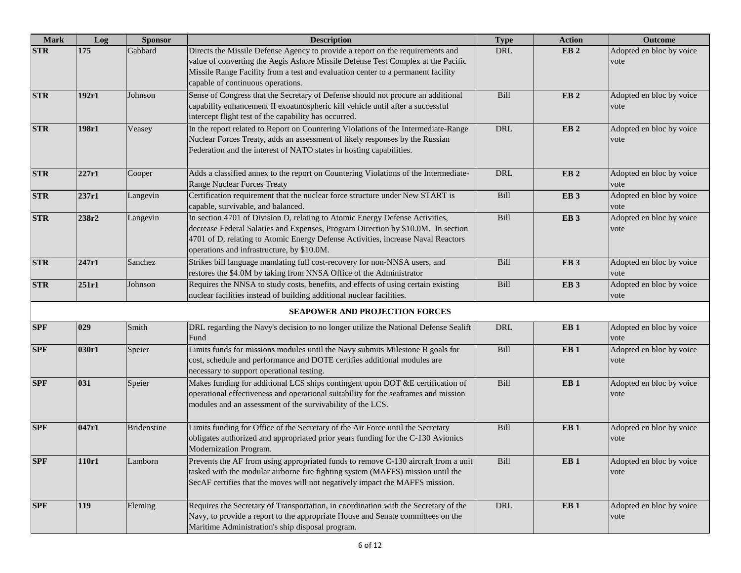| <b>Mark</b> | Log   | <b>Sponsor</b>     | <b>Description</b>                                                                                                                                                                                                                                                                                 | <b>Type</b> | <b>Action</b>   | <b>Outcome</b>                   |
|-------------|-------|--------------------|----------------------------------------------------------------------------------------------------------------------------------------------------------------------------------------------------------------------------------------------------------------------------------------------------|-------------|-----------------|----------------------------------|
| <b>STR</b>  | 175   | Gabbard            | Directs the Missile Defense Agency to provide a report on the requirements and<br>value of converting the Aegis Ashore Missile Defense Test Complex at the Pacific<br>Missile Range Facility from a test and evaluation center to a permanent facility<br>capable of continuous operations.        | <b>DRL</b>  | EB <sub>2</sub> | Adopted en bloc by voice<br>vote |
| <b>STR</b>  | 192r1 | Johnson            | Sense of Congress that the Secretary of Defense should not procure an additional<br>capability enhancement II exoatmospheric kill vehicle until after a successful<br>intercept flight test of the capability has occurred.                                                                        | Bill        | EB <sub>2</sub> | Adopted en bloc by voice<br>vote |
| <b>STR</b>  | 198r1 | Veasey             | In the report related to Report on Countering Violations of the Intermediate-Range<br>Nuclear Forces Treaty, adds an assessment of likely responses by the Russian<br>Federation and the interest of NATO states in hosting capabilities.                                                          | $\rm DRL$   | EB <sub>2</sub> | Adopted en bloc by voice<br>vote |
| <b>STR</b>  | 227r1 | Cooper             | Adds a classified annex to the report on Countering Violations of the Intermediate-<br>Range Nuclear Forces Treaty                                                                                                                                                                                 | DRL         | EB <sub>2</sub> | Adopted en bloc by voice<br>vote |
| <b>STR</b>  | 237r1 | Langevin           | Certification requirement that the nuclear force structure under New START is<br>capable, survivable, and balanced.                                                                                                                                                                                | Bill        | EB <sub>3</sub> | Adopted en bloc by voice<br>vote |
| <b>STR</b>  | 238r2 | Langevin           | In section 4701 of Division D, relating to Atomic Energy Defense Activities,<br>decrease Federal Salaries and Expenses, Program Direction by \$10.0M. In section<br>4701 of D, relating to Atomic Energy Defense Activities, increase Naval Reactors<br>operations and infrastructure, by \$10.0M. | Bill        | EB <sub>3</sub> | Adopted en bloc by voice<br>vote |
| <b>STR</b>  | 247r1 | Sanchez            | Strikes bill language mandating full cost-recovery for non-NNSA users, and<br>restores the \$4.0M by taking from NNSA Office of the Administrator                                                                                                                                                  | Bill        | EB <sub>3</sub> | Adopted en bloc by voice<br>vote |
| <b>STR</b>  | 251r1 | Johnson            | Requires the NNSA to study costs, benefits, and effects of using certain existing<br>nuclear facilities instead of building additional nuclear facilities.                                                                                                                                         | Bill        | EB <sub>3</sub> | Adopted en bloc by voice<br>vote |
|             |       |                    | <b>SEAPOWER AND PROJECTION FORCES</b>                                                                                                                                                                                                                                                              |             |                 |                                  |
| <b>SPF</b>  | 029   | Smith              | DRL regarding the Navy's decision to no longer utilize the National Defense Sealift<br>Fund                                                                                                                                                                                                        | <b>DRL</b>  | EB1             | Adopted en bloc by voice<br>vote |
| <b>SPF</b>  | 030r1 | Speier             | Limits funds for missions modules until the Navy submits Milestone B goals for<br>cost, schedule and performance and DOTE certifies additional modules are<br>necessary to support operational testing.                                                                                            | Bill        | EB1             | Adopted en bloc by voice<br>vote |
| <b>SPF</b>  | 031   | Speier             | Makes funding for additional LCS ships contingent upon DOT &E certification of<br>operational effectiveness and operational suitability for the seaframes and mission<br>modules and an assessment of the survivability of the LCS.                                                                | Bill        | EB1             | Adopted en bloc by voice<br>vote |
| <b>SPF</b>  | 047r1 | <b>Bridenstine</b> | Limits funding for Office of the Secretary of the Air Force until the Secretary<br>obligates authorized and appropriated prior years funding for the C-130 Avionics<br>Modernization Program.                                                                                                      | Bill        | EB1             | Adopted en bloc by voice<br>vote |
| <b>SPF</b>  | 110r1 | Lamborn            | Prevents the AF from using appropriated funds to remove C-130 aircraft from a unit<br>tasked with the modular airborne fire fighting system (MAFFS) mission until the<br>SecAF certifies that the moves will not negatively impact the MAFFS mission.                                              | Bill        | EB1             | Adopted en bloc by voice<br>vote |
| <b>SPF</b>  | 119   | Fleming            | Requires the Secretary of Transportation, in coordination with the Secretary of the<br>Navy, to provide a report to the appropriate House and Senate committees on the<br>Maritime Administration's ship disposal program.                                                                         | DRL         | EB <sub>1</sub> | Adopted en bloc by voice<br>vote |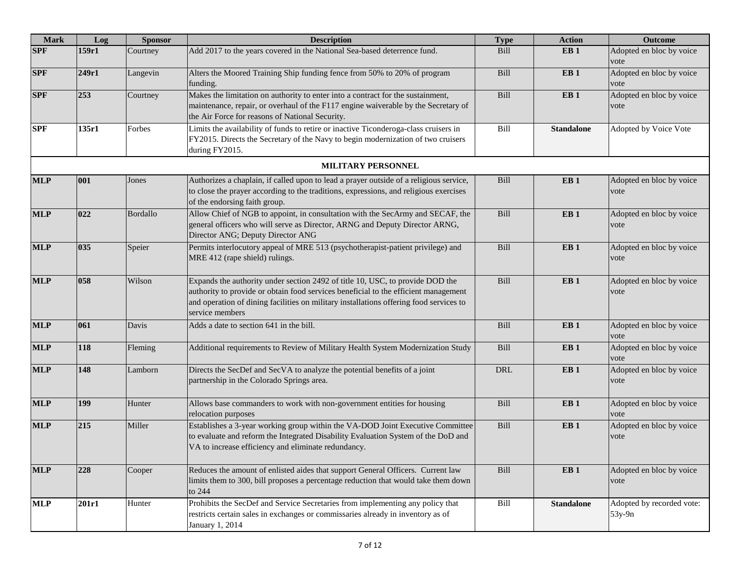| <b>Mark</b> | Log   | <b>Sponsor</b> | <b>Description</b>                                                                                                                                                                                                                                                                | <b>Type</b> | <b>Action</b>     | <b>Outcome</b>                        |
|-------------|-------|----------------|-----------------------------------------------------------------------------------------------------------------------------------------------------------------------------------------------------------------------------------------------------------------------------------|-------------|-------------------|---------------------------------------|
| <b>SPF</b>  | 159r1 | Courtney       | Add 2017 to the years covered in the National Sea-based deterrence fund.                                                                                                                                                                                                          | Bill        | EB <sub>1</sub>   | Adopted en bloc by voice<br>vote      |
| <b>SPF</b>  | 249r1 | Langevin       | Alters the Moored Training Ship funding fence from 50% to 20% of program<br>funding.                                                                                                                                                                                              | Bill        | EB <sub>1</sub>   | Adopted en bloc by voice<br>vote      |
| <b>SPF</b>  | 253   | Courtney       | Makes the limitation on authority to enter into a contract for the sustainment,<br>maintenance, repair, or overhaul of the F117 engine waiverable by the Secretary of<br>the Air Force for reasons of National Security.                                                          | Bill        | EB <sub>1</sub>   | Adopted en bloc by voice<br>vote      |
| <b>SPF</b>  | 135r1 | Forbes         | Limits the availability of funds to retire or inactive Ticonderoga-class cruisers in<br>FY2015. Directs the Secretary of the Navy to begin modernization of two cruisers<br>during FY2015.                                                                                        | Bill        | <b>Standalone</b> | Adopted by Voice Vote                 |
|             |       |                | MILITARY PERSONNEL                                                                                                                                                                                                                                                                |             |                   |                                       |
| <b>MLP</b>  | 001   | Jones          | Authorizes a chaplain, if called upon to lead a prayer outside of a religious service,<br>to close the prayer according to the traditions, expressions, and religious exercises<br>of the endorsing faith group.                                                                  | Bill        | EB <sub>1</sub>   | Adopted en bloc by voice<br>vote      |
| <b>MLP</b>  | 022   | Bordallo       | Allow Chief of NGB to appoint, in consultation with the SecArmy and SECAF, the<br>general officers who will serve as Director, ARNG and Deputy Director ARNG,<br>Director ANG; Deputy Director ANG                                                                                | Bill        | EB <sub>1</sub>   | Adopted en bloc by voice<br>vote      |
| <b>MLP</b>  | 035   | Speier         | Permits interlocutory appeal of MRE 513 (psychotherapist-patient privilege) and<br>MRE 412 (rape shield) rulings.                                                                                                                                                                 | Bill        | EB <sub>1</sub>   | Adopted en bloc by voice<br>vote      |
| <b>MLP</b>  | 058   | Wilson         | Expands the authority under section 2492 of title 10, USC, to provide DOD the<br>authority to provide or obtain food services beneficial to the efficient management<br>and operation of dining facilities on military installations offering food services to<br>service members | Bill        | EB1               | Adopted en bloc by voice<br>vote      |
| <b>MLP</b>  | 061   | Davis          | Adds a date to section 641 in the bill.                                                                                                                                                                                                                                           | Bill        | EB <sub>1</sub>   | Adopted en bloc by voice<br>vote      |
| <b>MLP</b>  | 118   | Fleming        | Additional requirements to Review of Military Health System Modernization Study                                                                                                                                                                                                   | Bill        | EB <sub>1</sub>   | Adopted en bloc by voice<br>vote      |
| <b>MLP</b>  | 148   | Lamborn        | Directs the SecDef and SecVA to analyze the potential benefits of a joint<br>partnership in the Colorado Springs area.                                                                                                                                                            | <b>DRL</b>  | EB <sub>1</sub>   | Adopted en bloc by voice<br>vote      |
| <b>MLP</b>  | 199   | Hunter         | Allows base commanders to work with non-government entities for housing<br>relocation purposes                                                                                                                                                                                    | Bill        | EB <sub>1</sub>   | Adopted en bloc by voice<br>vote      |
| <b>MLP</b>  | 215   | Miller         | Establishes a 3-year working group within the VA-DOD Joint Executive Committee<br>to evaluate and reform the Integrated Disability Evaluation System of the DoD and<br>VA to increase efficiency and eliminate redundancy.                                                        | Bill        | EB <sub>1</sub>   | Adopted en bloc by voice<br>vote      |
| <b>MLP</b>  | 228   | Cooper         | Reduces the amount of enlisted aides that support General Officers. Current law<br>limits them to 300, bill proposes a percentage reduction that would take them down<br>to 244                                                                                                   | Bill        | EB <sub>1</sub>   | Adopted en bloc by voice<br>vote      |
| <b>MLP</b>  | 201r1 | Hunter         | Prohibits the SecDef and Service Secretaries from implementing any policy that<br>restricts certain sales in exchanges or commissaries already in inventory as of<br>January 1, 2014                                                                                              | Bill        | <b>Standalone</b> | Adopted by recorded vote:<br>$53y-9n$ |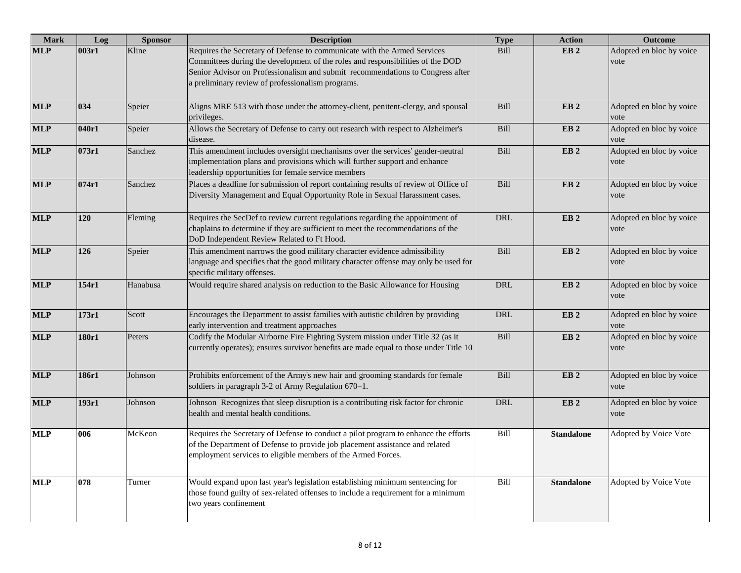| <b>Mark</b> | Log   | <b>Sponsor</b> | <b>Description</b>                                                                                                                                                                                                                                                                                | <b>Type</b> | <b>Action</b>     | <b>Outcome</b>                   |
|-------------|-------|----------------|---------------------------------------------------------------------------------------------------------------------------------------------------------------------------------------------------------------------------------------------------------------------------------------------------|-------------|-------------------|----------------------------------|
| <b>MLP</b>  | 003r1 | Kline          | Requires the Secretary of Defense to communicate with the Armed Services<br>Committees during the development of the roles and responsibilities of the DOD<br>Senior Advisor on Professionalism and submit recommendations to Congress after<br>a preliminary review of professionalism programs. | Bill        | EB <sub>2</sub>   | Adopted en bloc by voice<br>vote |
| <b>MLP</b>  | 034   | Speier         | Aligns MRE 513 with those under the attorney-client, penitent-clergy, and spousal<br>privileges.                                                                                                                                                                                                  | Bill        | EB <sub>2</sub>   | Adopted en bloc by voice<br>vote |
| <b>MLP</b>  | 040r1 | Speier         | Allows the Secretary of Defense to carry out research with respect to Alzheimer's<br>disease.                                                                                                                                                                                                     | Bill        | EB <sub>2</sub>   | Adopted en bloc by voice<br>vote |
| <b>MLP</b>  | 073r1 | Sanchez        | This amendment includes oversight mechanisms over the services' gender-neutral<br>implementation plans and provisions which will further support and enhance<br>leadership opportunities for female service members                                                                               | Bill        | EB <sub>2</sub>   | Adopted en bloc by voice<br>vote |
| <b>MLP</b>  | 074r1 | Sanchez        | Places a deadline for submission of report containing results of review of Office of<br>Diversity Management and Equal Opportunity Role in Sexual Harassment cases.                                                                                                                               | Bill        | EB <sub>2</sub>   | Adopted en bloc by voice<br>vote |
| <b>MLP</b>  | 120   | Fleming        | Requires the SecDef to review current regulations regarding the appointment of<br>chaplains to determine if they are sufficient to meet the recommendations of the<br>DoD Independent Review Related to Ft Hood.                                                                                  | <b>DRL</b>  | EB <sub>2</sub>   | Adopted en bloc by voice<br>vote |
| <b>MLP</b>  | 126   | Speier         | This amendment narrows the good military character evidence admissibility<br>language and specifies that the good military character offense may only be used for<br>specific military offenses.                                                                                                  | Bill        | EB <sub>2</sub>   | Adopted en bloc by voice<br>vote |
| <b>MLP</b>  | 154r1 | Hanabusa       | Would require shared analysis on reduction to the Basic Allowance for Housing                                                                                                                                                                                                                     | <b>DRL</b>  | EB <sub>2</sub>   | Adopted en bloc by voice<br>vote |
| <b>MLP</b>  | 173r1 | Scott          | Encourages the Department to assist families with autistic children by providing<br>early intervention and treatment approaches                                                                                                                                                                   | <b>DRL</b>  | EB <sub>2</sub>   | Adopted en bloc by voice<br>vote |
| <b>MLP</b>  | 180r1 | Peters         | Codify the Modular Airborne Fire Fighting System mission under Title 32 (as it<br>currently operates); ensures survivor benefits are made equal to those under Title 10                                                                                                                           | Bill        | EB <sub>2</sub>   | Adopted en bloc by voice<br>vote |
| <b>MLP</b>  | 186r1 | Johnson        | Prohibits enforcement of the Army's new hair and grooming standards for female<br>soldiers in paragraph 3-2 of Army Regulation 670-1.                                                                                                                                                             | Bill        | EB <sub>2</sub>   | Adopted en bloc by voice<br>vote |
| <b>MLP</b>  | 193r1 | Johnson        | Johnson Recognizes that sleep disruption is a contributing risk factor for chronic<br>health and mental health conditions.                                                                                                                                                                        | <b>DRL</b>  | EB <sub>2</sub>   | Adopted en bloc by voice<br>vote |
| <b>MLP</b>  | 006   | McKeon         | Requires the Secretary of Defense to conduct a pilot program to enhance the efforts<br>of the Department of Defense to provide job placement assistance and related<br>employment services to eligible members of the Armed Forces.                                                               | Bill        | <b>Standalone</b> | Adopted by Voice Vote            |
| <b>MLP</b>  | 078   | Turner         | Would expand upon last year's legislation establishing minimum sentencing for<br>those found guilty of sex-related offenses to include a requirement for a minimum<br>two years confinement                                                                                                       | Bill        | <b>Standalone</b> | Adopted by Voice Vote            |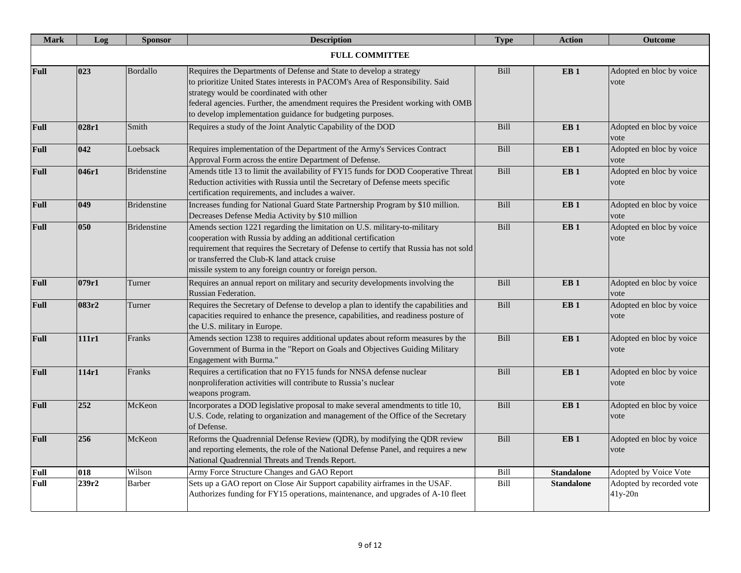| <b>Mark</b> | Log   | <b>Sponsor</b>     | <b>Description</b>                                                                                                                                                                                                                                                                                                                                 | <b>Type</b> | <b>Action</b>     | <b>Outcome</b>                      |
|-------------|-------|--------------------|----------------------------------------------------------------------------------------------------------------------------------------------------------------------------------------------------------------------------------------------------------------------------------------------------------------------------------------------------|-------------|-------------------|-------------------------------------|
|             |       |                    | <b>FULL COMMITTEE</b>                                                                                                                                                                                                                                                                                                                              |             |                   |                                     |
| Full        | 023   | <b>Bordallo</b>    | Requires the Departments of Defense and State to develop a strategy<br>to prioritize United States interests in PACOM's Area of Responsibility. Said<br>strategy would be coordinated with other<br>federal agencies. Further, the amendment requires the President working with OMB<br>to develop implementation guidance for budgeting purposes. | Bill        | EB <sub>1</sub>   | Adopted en bloc by voice<br>vote    |
| <b>Full</b> | 028r1 | Smith              | Requires a study of the Joint Analytic Capability of the DOD                                                                                                                                                                                                                                                                                       | Bill        | EB <sub>1</sub>   | Adopted en bloc by voice<br>vote    |
| Full        | 042   | Loebsack           | Requires implementation of the Department of the Army's Services Contract<br>Approval Form across the entire Department of Defense.                                                                                                                                                                                                                | Bill        | EB <sub>1</sub>   | Adopted en bloc by voice<br>vote    |
| <b>Full</b> | 046r1 | <b>Bridenstine</b> | Amends title 13 to limit the availability of FY15 funds for DOD Cooperative Threat<br>Reduction activities with Russia until the Secretary of Defense meets specific<br>certification requirements, and includes a waiver.                                                                                                                         | <b>Bill</b> | EB <sub>1</sub>   | Adopted en bloc by voice<br>vote    |
| <b>Full</b> | 049   | <b>Bridenstine</b> | Increases funding for National Guard State Partnership Program by \$10 million.<br>Decreases Defense Media Activity by \$10 million                                                                                                                                                                                                                | Bill        | EB <sub>1</sub>   | Adopted en bloc by voice<br>vote    |
| <b>Full</b> | 050   | <b>Bridenstine</b> | Amends section 1221 regarding the limitation on U.S. military-to-military<br>cooperation with Russia by adding an additional certification<br>requirement that requires the Secretary of Defense to certify that Russia has not sold<br>or transferred the Club-K land attack cruise<br>missile system to any foreign country or foreign person.   | Bill        | EB <sub>1</sub>   | Adopted en bloc by voice<br>vote    |
| Full        | 079r1 | Turner             | Requires an annual report on military and security developments involving the<br>Russian Federation.                                                                                                                                                                                                                                               | Bill        | EB <sub>1</sub>   | Adopted en bloc by voice<br>vote    |
| <b>Full</b> | 083r2 | Turner             | Requires the Secretary of Defense to develop a plan to identify the capabilities and<br>capacities required to enhance the presence, capabilities, and readiness posture of<br>the U.S. military in Europe.                                                                                                                                        | Bill        | EB <sub>1</sub>   | Adopted en bloc by voice<br>vote    |
| <b>Full</b> | 111r1 | Franks             | Amends section 1238 to requires additional updates about reform measures by the<br>Government of Burma in the "Report on Goals and Objectives Guiding Military<br>Engagement with Burma."                                                                                                                                                          | Bill        | EB <sub>1</sub>   | Adopted en bloc by voice<br>vote    |
| <b>Full</b> | 114r1 | Franks             | Requires a certification that no FY15 funds for NNSA defense nuclear<br>nonproliferation activities will contribute to Russia's nuclear<br>weapons program.                                                                                                                                                                                        | Bill        | EB <sub>1</sub>   | Adopted en bloc by voice<br>vote    |
| <b>Full</b> | 252   | McKeon             | Incorporates a DOD legislative proposal to make several amendments to title 10,<br>U.S. Code, relating to organization and management of the Office of the Secretary<br>of Defense.                                                                                                                                                                | Bill        | EB <sub>1</sub>   | Adopted en bloc by voice<br>vote    |
| <b>Full</b> | 256   | McKeon             | Reforms the Quadrennial Defense Review (QDR), by modifying the QDR review<br>and reporting elements, the role of the National Defense Panel, and requires a new<br>National Quadrennial Threats and Trends Report.                                                                                                                                 | Bill        | EB <sub>1</sub>   | Adopted en bloc by voice<br>vote    |
| <b>Full</b> | 018   | Wilson             | Army Force Structure Changes and GAO Report                                                                                                                                                                                                                                                                                                        | Bill        | <b>Standalone</b> | Adopted by Voice Vote               |
| Full        | 239r2 | <b>Barber</b>      | Sets up a GAO report on Close Air Support capability airframes in the USAF.<br>Authorizes funding for FY15 operations, maintenance, and upgrades of A-10 fleet                                                                                                                                                                                     | Bill        | <b>Standalone</b> | Adopted by recorded vote<br>41y-20n |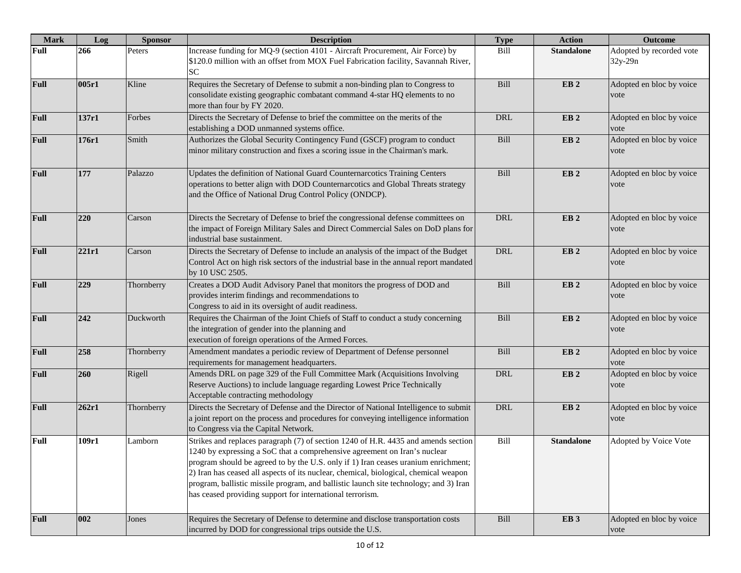| <b>Mark</b> | Log   | <b>Sponsor</b> | <b>Description</b>                                                                                                                                                                                                                                                                                                                                                                                                                                                                                  | <b>Type</b> | <b>Action</b>     | <b>Outcome</b>                      |
|-------------|-------|----------------|-----------------------------------------------------------------------------------------------------------------------------------------------------------------------------------------------------------------------------------------------------------------------------------------------------------------------------------------------------------------------------------------------------------------------------------------------------------------------------------------------------|-------------|-------------------|-------------------------------------|
| Full        | 266   | Peters         | Increase funding for MQ-9 (section 4101 - Aircraft Procurement, Air Force) by<br>\$120.0 million with an offset from MOX Fuel Fabrication facility, Savannah River,<br><b>SC</b>                                                                                                                                                                                                                                                                                                                    | Bill        | <b>Standalone</b> | Adopted by recorded vote<br>32y-29n |
| Full        | 005r1 | Kline          | Requires the Secretary of Defense to submit a non-binding plan to Congress to<br>consolidate existing geographic combatant command 4-star HQ elements to no<br>more than four by FY 2020.                                                                                                                                                                                                                                                                                                           | Bill        | EB <sub>2</sub>   | Adopted en bloc by voice<br>vote    |
| <b>Full</b> | 137r1 | Forbes         | Directs the Secretary of Defense to brief the committee on the merits of the<br>establishing a DOD unmanned systems office.                                                                                                                                                                                                                                                                                                                                                                         | DRL         | EB <sub>2</sub>   | Adopted en bloc by voice<br>vote    |
| Full        | 176r1 | Smith          | Authorizes the Global Security Contingency Fund (GSCF) program to conduct<br>minor military construction and fixes a scoring issue in the Chairman's mark.                                                                                                                                                                                                                                                                                                                                          | Bill        | EB <sub>2</sub>   | Adopted en bloc by voice<br>vote    |
| <b>Full</b> | 177   | Palazzo        | Updates the definition of National Guard Counternarcotics Training Centers<br>operations to better align with DOD Counternarcotics and Global Threats strategy<br>and the Office of National Drug Control Policy (ONDCP).                                                                                                                                                                                                                                                                           | Bill        | EB <sub>2</sub>   | Adopted en bloc by voice<br>vote    |
| <b>Full</b> | 220   | Carson         | Directs the Secretary of Defense to brief the congressional defense committees on<br>the impact of Foreign Military Sales and Direct Commercial Sales on DoD plans for<br>industrial base sustainment.                                                                                                                                                                                                                                                                                              | <b>DRL</b>  | EB <sub>2</sub>   | Adopted en bloc by voice<br>vote    |
| <b>Full</b> | 221r1 | Carson         | Directs the Secretary of Defense to include an analysis of the impact of the Budget<br>Control Act on high risk sectors of the industrial base in the annual report mandated<br>by 10 USC 2505.                                                                                                                                                                                                                                                                                                     | <b>DRL</b>  | EB <sub>2</sub>   | Adopted en bloc by voice<br>vote    |
| <b>Full</b> | 229   | Thornberry     | Creates a DOD Audit Advisory Panel that monitors the progress of DOD and<br>provides interim findings and recommendations to<br>Congress to aid in its oversight of audit readiness.                                                                                                                                                                                                                                                                                                                | Bill        | EB <sub>2</sub>   | Adopted en bloc by voice<br>vote    |
| <b>Full</b> | 242   | Duckworth      | Requires the Chairman of the Joint Chiefs of Staff to conduct a study concerning<br>the integration of gender into the planning and<br>execution of foreign operations of the Armed Forces.                                                                                                                                                                                                                                                                                                         | Bill        | EB <sub>2</sub>   | Adopted en bloc by voice<br>vote    |
| <b>Full</b> | 258   | Thornberry     | Amendment mandates a periodic review of Department of Defense personnel<br>requirements for management headquarters.                                                                                                                                                                                                                                                                                                                                                                                | Bill        | EB <sub>2</sub>   | Adopted en bloc by voice<br>vote    |
| Full        | 260   | Rigell         | Amends DRL on page 329 of the Full Committee Mark (Acquisitions Involving<br>Reserve Auctions) to include language regarding Lowest Price Technically<br>Acceptable contracting methodology                                                                                                                                                                                                                                                                                                         | <b>DRL</b>  | EB <sub>2</sub>   | Adopted en bloc by voice<br>vote    |
| <b>Full</b> | 262r1 | Thornberry     | Directs the Secretary of Defense and the Director of National Intelligence to submit<br>a joint report on the process and procedures for conveying intelligence information<br>to Congress via the Capital Network.                                                                                                                                                                                                                                                                                 | <b>DRL</b>  | EB <sub>2</sub>   | Adopted en bloc by voice<br>vote    |
| <b>Full</b> | 109r1 | Lamborn        | Strikes and replaces paragraph (7) of section 1240 of H.R. 4435 and amends section<br>1240 by expressing a SoC that a comprehensive agreement on Iran's nuclear<br>program should be agreed to by the U.S. only if 1) Iran ceases uranium enrichment;<br>2) Iran has ceased all aspects of its nuclear, chemical, biological, chemical weapon<br>program, ballistic missile program, and ballistic launch site technology; and 3) Iran<br>has ceased providing support for international terrorism. | Bill        | <b>Standalone</b> | Adopted by Voice Vote               |
| <b>Full</b> | 002   | Jones          | Requires the Secretary of Defense to determine and disclose transportation costs<br>incurred by DOD for congressional trips outside the U.S.                                                                                                                                                                                                                                                                                                                                                        | Bill        | EB <sub>3</sub>   | Adopted en bloc by voice<br>vote    |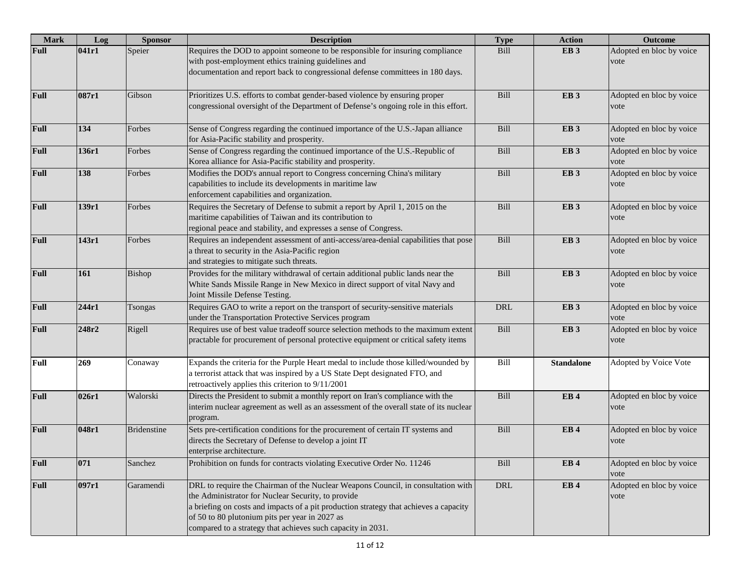| <b>Mark</b> | Log   | <b>Sponsor</b>     | <b>Description</b>                                                                                                                                                                                                                                                                                                                               | <b>Type</b> | <b>Action</b>     | <b>Outcome</b>                   |
|-------------|-------|--------------------|--------------------------------------------------------------------------------------------------------------------------------------------------------------------------------------------------------------------------------------------------------------------------------------------------------------------------------------------------|-------------|-------------------|----------------------------------|
| Full        | 041r1 | Speier             | Requires the DOD to appoint someone to be responsible for insuring compliance<br>with post-employment ethics training guidelines and<br>documentation and report back to congressional defense committees in 180 days.                                                                                                                           | Bill        | EB <sub>3</sub>   | Adopted en bloc by voice<br>vote |
| <b>Full</b> | 087r1 | Gibson             | Prioritizes U.S. efforts to combat gender-based violence by ensuring proper<br>congressional oversight of the Department of Defense's ongoing role in this effort.                                                                                                                                                                               | Bill        | EB <sub>3</sub>   | Adopted en bloc by voice<br>vote |
| <b>Full</b> | 134   | Forbes             | Sense of Congress regarding the continued importance of the U.S.-Japan alliance<br>for Asia-Pacific stability and prosperity.                                                                                                                                                                                                                    | Bill        | EB <sub>3</sub>   | Adopted en bloc by voice<br>vote |
| <b>Full</b> | 136r1 | Forbes             | Sense of Congress regarding the continued importance of the U.S.-Republic of<br>Korea alliance for Asia-Pacific stability and prosperity.                                                                                                                                                                                                        | Bill        | EB <sub>3</sub>   | Adopted en bloc by voice<br>vote |
| <b>Full</b> | 138   | Forbes             | Modifies the DOD's annual report to Congress concerning China's military<br>capabilities to include its developments in maritime law<br>enforcement capabilities and organization.                                                                                                                                                               | Bill        | EB <sub>3</sub>   | Adopted en bloc by voice<br>vote |
| <b>Full</b> | 139r1 | Forbes             | Requires the Secretary of Defense to submit a report by April 1, 2015 on the<br>maritime capabilities of Taiwan and its contribution to<br>regional peace and stability, and expresses a sense of Congress.                                                                                                                                      | Bill        | EB <sub>3</sub>   | Adopted en bloc by voice<br>vote |
| <b>Full</b> | 143r1 | Forbes             | Requires an independent assessment of anti-access/area-denial capabilities that pose<br>a threat to security in the Asia-Pacific region<br>and strategies to mitigate such threats.                                                                                                                                                              | Bill        | EB <sub>3</sub>   | Adopted en bloc by voice<br>vote |
| <b>Full</b> | 161   | Bishop             | Provides for the military withdrawal of certain additional public lands near the<br>White Sands Missile Range in New Mexico in direct support of vital Navy and<br>Joint Missile Defense Testing.                                                                                                                                                | Bill        | EB <sub>3</sub>   | Adopted en bloc by voice<br>vote |
| Full        | 244r1 | Tsongas            | Requires GAO to write a report on the transport of security-sensitive materials<br>under the Transportation Protective Services program                                                                                                                                                                                                          | <b>DRL</b>  | EB <sub>3</sub>   | Adopted en bloc by voice<br>vote |
| <b>Full</b> | 248r2 | Rigell             | Requires use of best value tradeoff source selection methods to the maximum extent<br>practable for procurement of personal protective equipment or critical safety items                                                                                                                                                                        | Bill        | EB <sub>3</sub>   | Adopted en bloc by voice<br>vote |
| <b>Full</b> | 269   | Conaway            | Expands the criteria for the Purple Heart medal to include those killed/wounded by<br>a terrorist attack that was inspired by a US State Dept designated FTO, and<br>retroactively applies this criterion to 9/11/2001                                                                                                                           | Bill        | <b>Standalone</b> | Adopted by Voice Vote            |
| Full        | 026r1 | Walorski           | Directs the President to submit a monthly report on Iran's compliance with the<br>interim nuclear agreement as well as an assessment of the overall state of its nuclear<br>program.                                                                                                                                                             | Bill        | EB <sub>4</sub>   | Adopted en bloc by voice<br>vote |
| <b>Full</b> | 048r1 | <b>Bridenstine</b> | Sets pre-certification conditions for the procurement of certain IT systems and<br>directs the Secretary of Defense to develop a joint IT<br>enterprise architecture.                                                                                                                                                                            | Bill        | EB <sub>4</sub>   | Adopted en bloc by voice<br>vote |
| Full        | 071   | Sanchez            | Prohibition on funds for contracts violating Executive Order No. 11246                                                                                                                                                                                                                                                                           | Bill        | EB <sub>4</sub>   | Adopted en bloc by voice<br>vote |
| <b>Full</b> | 097r1 | Garamendi          | DRL to require the Chairman of the Nuclear Weapons Council, in consultation with<br>the Administrator for Nuclear Security, to provide<br>a briefing on costs and impacts of a pit production strategy that achieves a capacity<br>of 50 to 80 plutonium pits per year in 2027 as<br>compared to a strategy that achieves such capacity in 2031. | DRL         | EB <sub>4</sub>   | Adopted en bloc by voice<br>vote |